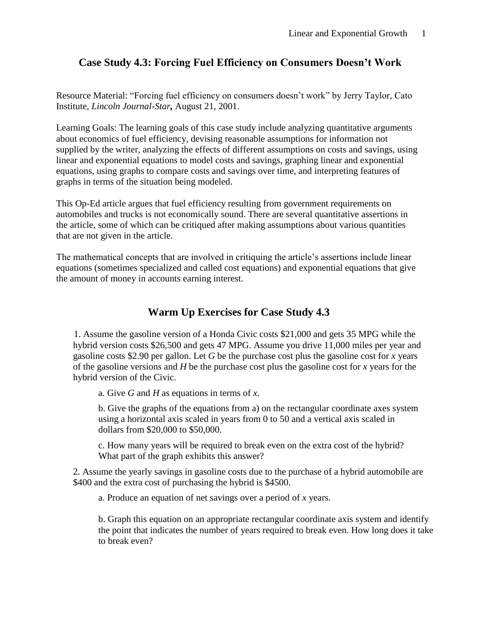# **Case Study 4.3: Forcing Fuel Efficiency on Consumers Doesn't Work**

Resource Material: "Forcing fuel efficiency on consumers doesn't work" by Jerry Taylor, Cato Institute, *Lincoln Journal-Star,* August 21, 2001.

Learning Goals: The learning goals of this case study include analyzing quantitative arguments about economics of fuel efficiency, devising reasonable assumptions for information not supplied by the writer, analyzing the effects of different assumptions on costs and savings, using linear and exponential equations to model costs and savings, graphing linear and exponential equations, using graphs to compare costs and savings over time, and interpreting features of graphs in terms of the situation being modeled.

This Op-Ed article argues that fuel efficiency resulting from government requirements on automobiles and trucks is not economically sound. There are several quantitative assertions in the article, some of which can be critiqued after making assumptions about various quantities that are not given in the article.

The mathematical concepts that are involved in critiquing the article's assertions include linear equations (sometimes specialized and called cost equations) and exponential equations that give the amount of money in accounts earning interest.

# **Warm Up Exercises for Case Study 4.3**

1. Assume the gasoline version of a Honda Civic costs \$21,000 and gets 35 MPG while the hybrid version costs \$26,500 and gets 47 MPG. Assume you drive 11,000 miles per year and gasoline costs \$2.90 per gallon. Let *G* be the purchase cost plus the gasoline cost for *x* years of the gasoline versions and *H* be the purchase cost plus the gasoline cost for *x* years for the hybrid version of the Civic.

a. Give *G* and *H* as equations in terms of *x*.

b. Give the graphs of the equations from a) on the rectangular coordinate axes system using a horizontal axis scaled in years from 0 to 50 and a vertical axis scaled in dollars from \$20,000 to \$50,000.

c. How many years will be required to break even on the extra cost of the hybrid? What part of the graph exhibits this answer?

2. Assume the yearly savings in gasoline costs due to the purchase of a hybrid automobile are \$400 and the extra cost of purchasing the hybrid is \$4500.

a. Produce an equation of net savings over a period of *x* years.

b. Graph this equation on an appropriate rectangular coordinate axis system and identify the point that indicates the number of years required to break even. How long does it take to break even?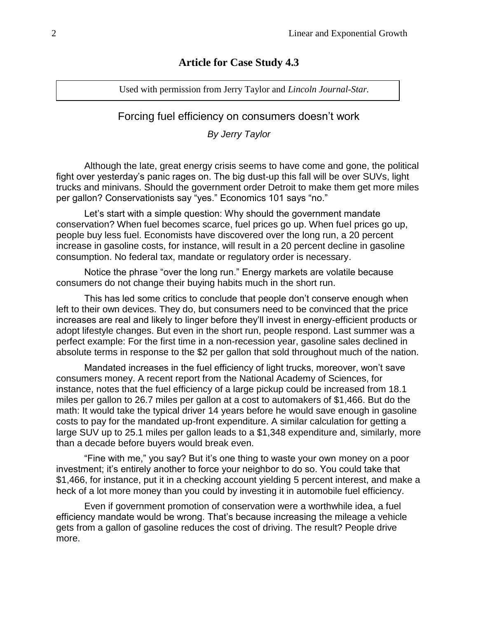# **Article for Case Study 4.3**

Used with permission from Jerry Taylor and *Lincoln Journal-Star.*

# Forcing fuel efficiency on consumers doesn't work

*By Jerry Taylor*

Although the late, great energy crisis seems to have come and gone, the political fight over yesterday's panic rages on. The big dust-up this fall will be over SUVs, light trucks and minivans. Should the government order Detroit to make them get more miles per gallon? Conservationists say "yes." Economics 101 says "no."

Let's start with a simple question: Why should the government mandate conservation? When fuel becomes scarce, fuel prices go up. When fuel prices go up, people buy less fuel. Economists have discovered over the long run, a 20 percent increase in gasoline costs, for instance, will result in a 20 percent decline in gasoline consumption. No federal tax, mandate or regulatory order is necessary.

Notice the phrase "over the long run." Energy markets are volatile because consumers do not change their buying habits much in the short run.

This has led some critics to conclude that people don't conserve enough when left to their own devices. They do, but consumers need to be convinced that the price increases are real and likely to linger before they'll invest in energy-efficient products or adopt lifestyle changes. But even in the short run, people respond. Last summer was a perfect example: For the first time in a non-recession year, gasoline sales declined in absolute terms in response to the \$2 per gallon that sold throughout much of the nation.

Mandated increases in the fuel efficiency of light trucks, moreover, won't save consumers money. A recent report from the National Academy of Sciences, for instance, notes that the fuel efficiency of a large pickup could be increased from 18.1 miles per gallon to 26.7 miles per gallon at a cost to automakers of \$1,466. But do the math: It would take the typical driver 14 years before he would save enough in gasoline costs to pay for the mandated up-front expenditure. A similar calculation for getting a large SUV up to 25.1 miles per gallon leads to a \$1,348 expenditure and, similarly, more than a decade before buyers would break even.

"Fine with me," you say? But it's one thing to waste your own money on a poor investment; it's entirely another to force your neighbor to do so. You could take that \$1,466, for instance, put it in a checking account yielding 5 percent interest, and make a heck of a lot more money than you could by investing it in automobile fuel efficiency.

Even if government promotion of conservation were a worthwhile idea, a fuel efficiency mandate would be wrong. That's because increasing the mileage a vehicle gets from a gallon of gasoline reduces the cost of driving. The result? People drive more.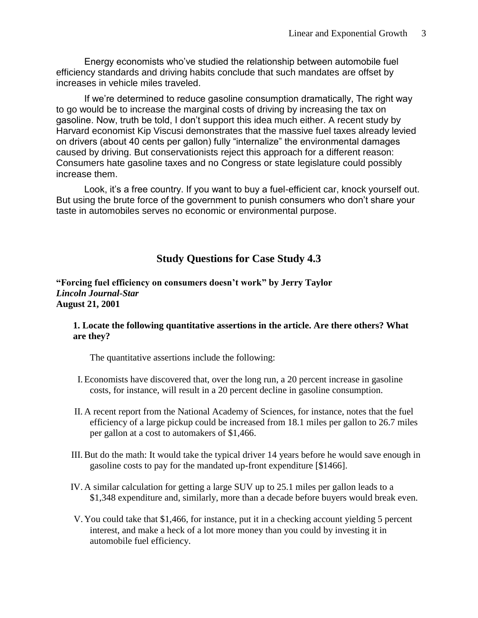Energy economists who've studied the relationship between automobile fuel efficiency standards and driving habits conclude that such mandates are offset by increases in vehicle miles traveled.

If we're determined to reduce gasoline consumption dramatically, The right way to go would be to increase the marginal costs of driving by increasing the tax on gasoline. Now, truth be told, I don't support this idea much either. A recent study by Harvard economist Kip Viscusi demonstrates that the massive fuel taxes already levied on drivers (about 40 cents per gallon) fully "internalize" the environmental damages caused by driving. But conservationists reject this approach for a different reason: Consumers hate gasoline taxes and no Congress or state legislature could possibly increase them.

Look, it's a free country. If you want to buy a fuel-efficient car, knock yourself out. But using the brute force of the government to punish consumers who don't share your taste in automobiles serves no economic or environmental purpose.

### **Study Questions for Case Study 4.3**

**"Forcing fuel efficiency on consumers doesn't work" by Jerry Taylor** *Lincoln Journal-Star* **August 21, 2001**

#### **1. Locate the following quantitative assertions in the article. Are there others? What are they?**

The quantitative assertions include the following:

- I. Economists have discovered that, over the long run, a 20 percent increase in gasoline costs, for instance, will result in a 20 percent decline in gasoline consumption.
- II. A recent report from the National Academy of Sciences, for instance, notes that the fuel efficiency of a large pickup could be increased from 18.1 miles per gallon to 26.7 miles per gallon at a cost to automakers of \$1,466.
- III. But do the math: It would take the typical driver 14 years before he would save enough in gasoline costs to pay for the mandated up-front expenditure [\$1466].
- IV. A similar calculation for getting a large SUV up to 25.1 miles per gallon leads to a \$1,348 expenditure and, similarly, more than a decade before buyers would break even.
- V. You could take that \$1,466, for instance, put it in a checking account yielding 5 percent interest, and make a heck of a lot more money than you could by investing it in automobile fuel efficiency.